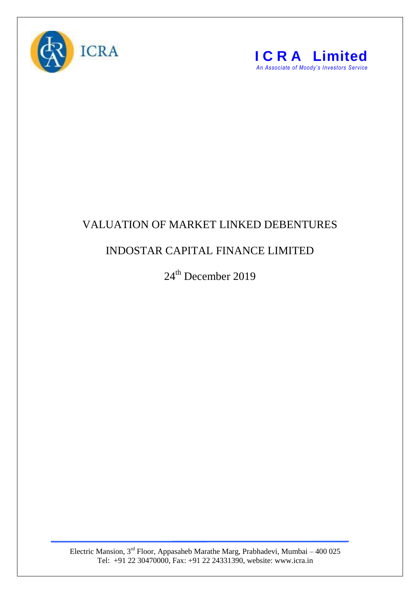



## VALUATION OF MARKET LINKED DEBENTURES

## INDOSTAR CAPITAL FINANCE LIMITED

24<sup>th</sup> December 2019

Electric Mansion,  $3<sup>rd</sup>$  Floor, Appasaheb Marathe Marg, Prabhadevi, Mumbai – 400 025 Tel: +91 22 30470000, Fax: +91 22 24331390, website: www.icra.in